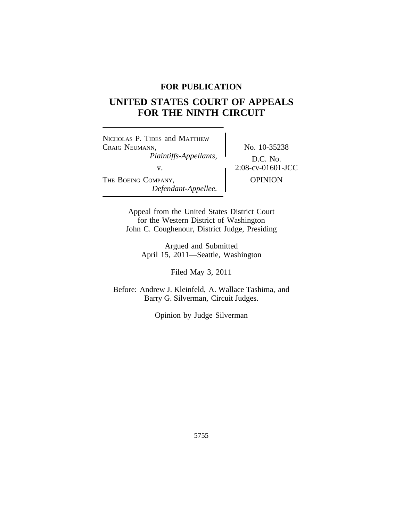## **FOR PUBLICATION**

# **UNITED STATES COURT OF APPEALS FOR THE NINTH CIRCUIT**

<sup>N</sup>ICHOLAS P. TIDES and MATTHEW CRAIG NEUMANN, No. 10-35238 *Plaintiffs-Appellants,* D.C. No.<br>v. 2:08-cv-01601-JCC THE BOEING COMPANY, OPINION *Defendant-Appellee.*

Appeal from the United States District Court for the Western District of Washington John C. Coughenour, District Judge, Presiding

> Argued and Submitted April 15, 2011—Seattle, Washington

> > Filed May 3, 2011

Before: Andrew J. Kleinfeld, A. Wallace Tashima, and Barry G. Silverman, Circuit Judges.

Opinion by Judge Silverman

5755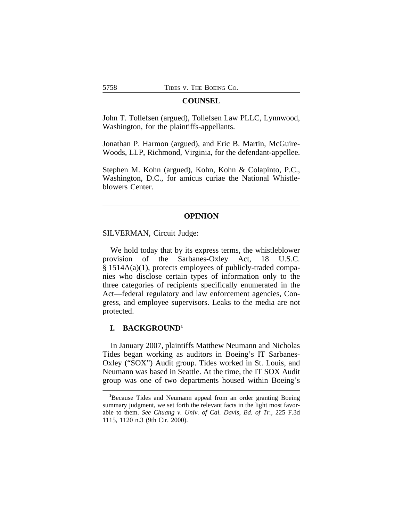#### **COUNSEL**

John T. Tollefsen (argued), Tollefsen Law PLLC, Lynnwood, Washington, for the plaintiffs-appellants.

Jonathan P. Harmon (argued), and Eric B. Martin, McGuire-Woods, LLP, Richmond, Virginia, for the defendant-appellee.

Stephen M. Kohn (argued), Kohn, Kohn & Colapinto, P.C., Washington, D.C., for amicus curiae the National Whistleblowers Center.

#### **OPINION**

SILVERMAN, Circuit Judge:

We hold today that by its express terms, the whistleblower provision of the Sarbanes-Oxley Act, 18 U.S.C. § 1514A(a)(1), protects employees of publicly-traded companies who disclose certain types of information only to the three categories of recipients specifically enumerated in the Act—federal regulatory and law enforcement agencies, Congress, and employee supervisors. Leaks to the media are not protected.

#### **I. BACKGROUND<sup>1</sup>**

In January 2007, plaintiffs Matthew Neumann and Nicholas Tides began working as auditors in Boeing's IT Sarbanes-Oxley ("SOX") Audit group. Tides worked in St. Louis, and Neumann was based in Seattle. At the time, the IT SOX Audit group was one of two departments housed within Boeing's

**<sup>1</sup>**Because Tides and Neumann appeal from an order granting Boeing summary judgment, we set forth the relevant facts in the light most favorable to them. *See Chuang v. Univ. of Cal. Davis, Bd. of Tr.*, 225 F.3d 1115, 1120 n.3 (9th Cir. 2000).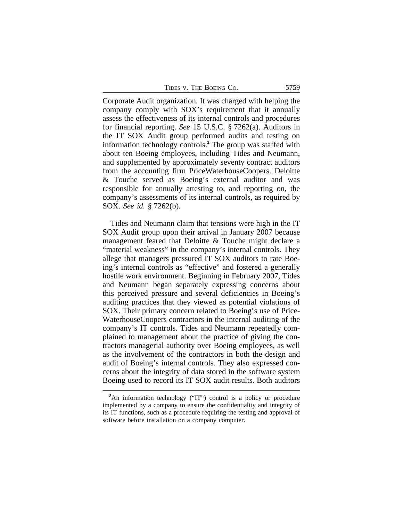| TIDES V. THE BOEING CO. | 5759 |
|-------------------------|------|
|-------------------------|------|

Corporate Audit organization. It was charged with helping the company comply with SOX's requirement that it annually assess the effectiveness of its internal controls and procedures for financial reporting. *See* 15 U.S.C. § 7262(a). Auditors in the IT SOX Audit group performed audits and testing on information technology controls.**<sup>2</sup>** The group was staffed with about ten Boeing employees, including Tides and Neumann, and supplemented by approximately seventy contract auditors from the accounting firm PriceWaterhouseCoopers. Deloitte & Touche served as Boeing's external auditor and was responsible for annually attesting to, and reporting on, the company's assessments of its internal controls, as required by SOX. *See id.* § 7262(b).

Tides and Neumann claim that tensions were high in the IT SOX Audit group upon their arrival in January 2007 because management feared that Deloitte & Touche might declare a "material weakness" in the company's internal controls. They allege that managers pressured IT SOX auditors to rate Boeing's internal controls as "effective" and fostered a generally hostile work environment. Beginning in February 2007, Tides and Neumann began separately expressing concerns about this perceived pressure and several deficiencies in Boeing's auditing practices that they viewed as potential violations of SOX. Their primary concern related to Boeing's use of Price-WaterhouseCoopers contractors in the internal auditing of the company's IT controls. Tides and Neumann repeatedly complained to management about the practice of giving the contractors managerial authority over Boeing employees, as well as the involvement of the contractors in both the design and audit of Boeing's internal controls. They also expressed concerns about the integrity of data stored in the software system Boeing used to record its IT SOX audit results. Both auditors

<sup>&</sup>lt;sup>2</sup>An information technology ("IT") control is a policy or procedure implemented by a company to ensure the confidentiality and integrity of its IT functions, such as a procedure requiring the testing and approval of software before installation on a company computer.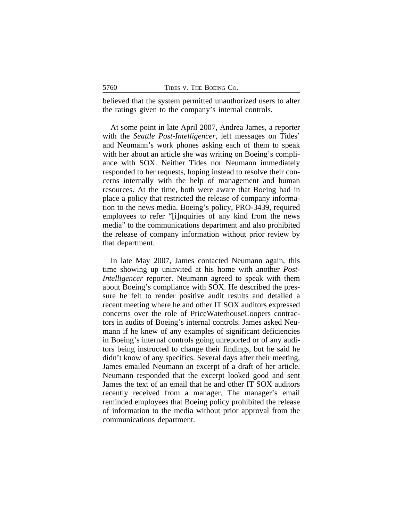believed that the system permitted unauthorized users to alter the ratings given to the company's internal controls.

At some point in late April 2007, Andrea James, a reporter with the *Seattle Post-Intelligencer*, left messages on Tides' and Neumann's work phones asking each of them to speak with her about an article she was writing on Boeing's compliance with SOX. Neither Tides nor Neumann immediately responded to her requests, hoping instead to resolve their concerns internally with the help of management and human resources. At the time, both were aware that Boeing had in place a policy that restricted the release of company information to the news media. Boeing's policy, PRO-3439, required employees to refer "[i]nquiries of any kind from the news media" to the communications department and also prohibited the release of company information without prior review by that department.

In late May 2007, James contacted Neumann again, this time showing up uninvited at his home with another *Post-Intelligencer* reporter. Neumann agreed to speak with them about Boeing's compliance with SOX. He described the pressure he felt to render positive audit results and detailed a recent meeting where he and other IT SOX auditors expressed concerns over the role of PriceWaterhouseCoopers contractors in audits of Boeing's internal controls. James asked Neumann if he knew of any examples of significant deficiencies in Boeing's internal controls going unreported or of any auditors being instructed to change their findings, but he said he didn't know of any specifics. Several days after their meeting, James emailed Neumann an excerpt of a draft of her article. Neumann responded that the excerpt looked good and sent James the text of an email that he and other IT SOX auditors recently received from a manager. The manager's email reminded employees that Boeing policy prohibited the release of information to the media without prior approval from the communications department.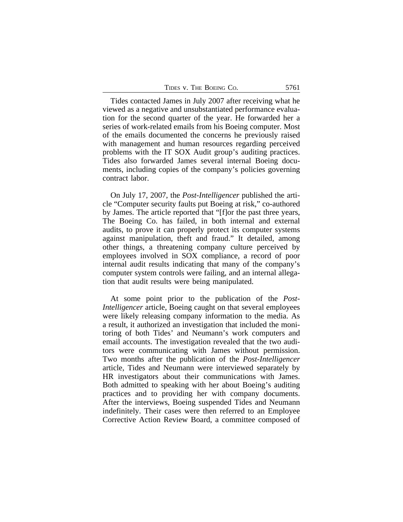| TIDES V. THE BOEING CO. | 5761 |
|-------------------------|------|
|-------------------------|------|

Tides contacted James in July 2007 after receiving what he viewed as a negative and unsubstantiated performance evaluation for the second quarter of the year. He forwarded her a series of work-related emails from his Boeing computer. Most of the emails documented the concerns he previously raised with management and human resources regarding perceived problems with the IT SOX Audit group's auditing practices. Tides also forwarded James several internal Boeing documents, including copies of the company's policies governing contract labor.

On July 17, 2007, the *Post-Intelligencer* published the article "Computer security faults put Boeing at risk," co-authored by James. The article reported that "[f]or the past three years, The Boeing Co. has failed, in both internal and external audits, to prove it can properly protect its computer systems against manipulation, theft and fraud." It detailed, among other things, a threatening company culture perceived by employees involved in SOX compliance, a record of poor internal audit results indicating that many of the company's computer system controls were failing, and an internal allegation that audit results were being manipulated.

At some point prior to the publication of the *Post-Intelligencer* article, Boeing caught on that several employees were likely releasing company information to the media. As a result, it authorized an investigation that included the monitoring of both Tides' and Neumann's work computers and email accounts. The investigation revealed that the two auditors were communicating with James without permission. Two months after the publication of the *Post-Intelligencer* article, Tides and Neumann were interviewed separately by HR investigators about their communications with James. Both admitted to speaking with her about Boeing's auditing practices and to providing her with company documents. After the interviews, Boeing suspended Tides and Neumann indefinitely. Their cases were then referred to an Employee Corrective Action Review Board, a committee composed of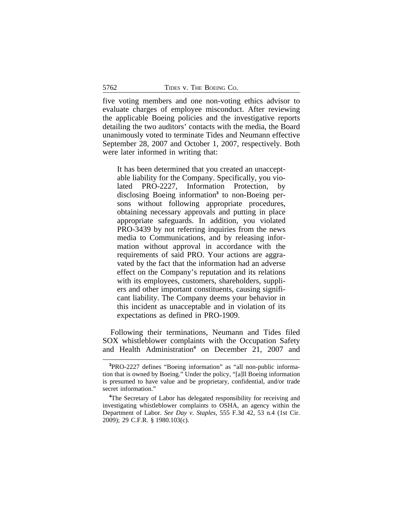five voting members and one non-voting ethics advisor to evaluate charges of employee misconduct. After reviewing the applicable Boeing policies and the investigative reports detailing the two auditors' contacts with the media, the Board unanimously voted to terminate Tides and Neumann effective September 28, 2007 and October 1, 2007, respectively. Both were later informed in writing that:

It has been determined that you created an unacceptable liability for the Company. Specifically, you violated PRO-2227, Information Protection, by disclosing Boeing information**<sup>3</sup>** to non-Boeing persons without following appropriate procedures, obtaining necessary approvals and putting in place appropriate safeguards. In addition, you violated PRO-3439 by not referring inquiries from the news media to Communications, and by releasing information without approval in accordance with the requirements of said PRO. Your actions are aggravated by the fact that the information had an adverse effect on the Company's reputation and its relations with its employees, customers, shareholders, suppliers and other important constituents, causing significant liability. The Company deems your behavior in this incident as unacceptable and in violation of its expectations as defined in PRO-1909.

Following their terminations, Neumann and Tides filed SOX whistleblower complaints with the Occupation Safety and Health Administration<sup>4</sup> on December 21, 2007 and

**<sup>3</sup>**PRO-2227 defines "Boeing information" as "all non-public information that is owned by Boeing." Under the policy, "[a]ll Boeing information is presumed to have value and be proprietary, confidential, and/or trade secret information."

<sup>&</sup>lt;sup>4</sup>The Secretary of Labor has delegated responsibility for receiving and investigating whistleblower complaints to OSHA, an agency within the Department of Labor. *See Day v. Staples*, 555 F.3d 42, 53 n.4 (1st Cir. 2009); 29 C.F.R. § 1980.103(c).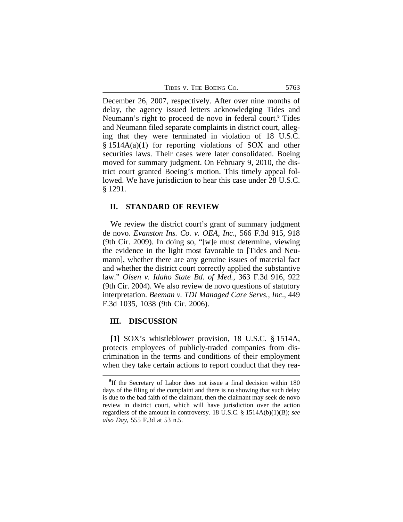TIDES V. THE BOEING CO. 5763

December 26, 2007, respectively. After over nine months of delay, the agency issued letters acknowledging Tides and Neumann's right to proceed de novo in federal court.**<sup>5</sup>** Tides and Neumann filed separate complaints in district court, alleging that they were terminated in violation of 18 U.S.C. § 1514A(a)(1) for reporting violations of SOX and other securities laws. Their cases were later consolidated. Boeing moved for summary judgment. On February 9, 2010, the district court granted Boeing's motion. This timely appeal followed. We have jurisdiction to hear this case under 28 U.S.C. § 1291.

#### **II. STANDARD OF REVIEW**

We review the district court's grant of summary judgment de novo. *Evanston Ins. Co. v. OEA, Inc*., 566 F.3d 915, 918 (9th Cir. 2009). In doing so, "[w]e must determine, viewing the evidence in the light most favorable to [Tides and Neumann], whether there are any genuine issues of material fact and whether the district court correctly applied the substantive law." *Olsen v. Idaho State Bd. of Med.*, 363 F.3d 916, 922 (9th Cir. 2004). We also review de novo questions of statutory interpretation. *Beeman v. TDI Managed Care Servs., Inc*., 449 F.3d 1035, 1038 (9th Cir. 2006).

#### **III. DISCUSSION**

**[1]** SOX's whistleblower provision, 18 U.S.C. § 1514A, protects employees of publicly-traded companies from discrimination in the terms and conditions of their employment when they take certain actions to report conduct that they rea-

**<sup>5</sup>** If the Secretary of Labor does not issue a final decision within 180 days of the filing of the complaint and there is no showing that such delay is due to the bad faith of the claimant, then the claimant may seek de novo review in district court, which will have jurisdiction over the action regardless of the amount in controversy. 18 U.S.C. § 1514A(b)(1)(B); *see also Day*, 555 F.3d at 53 n.5.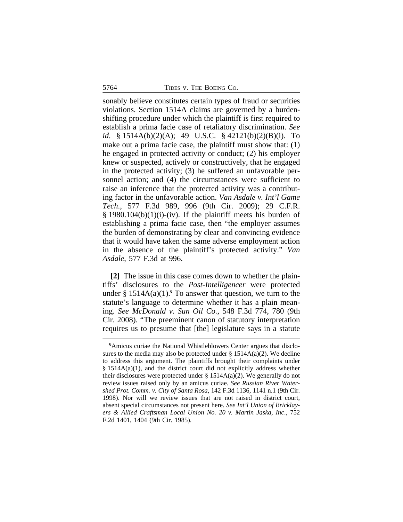sonably believe constitutes certain types of fraud or securities violations. Section 1514A claims are governed by a burdenshifting procedure under which the plaintiff is first required to establish a prima facie case of retaliatory discrimination. *See id*. § 1514A(b)(2)(A); 49 U.S.C. § 42121(b)(2)(B)(i). To make out a prima facie case, the plaintiff must show that: (1) he engaged in protected activity or conduct; (2) his employer knew or suspected, actively or constructively, that he engaged in the protected activity; (3) he suffered an unfavorable personnel action; and (4) the circumstances were sufficient to raise an inference that the protected activity was a contributing factor in the unfavorable action. *Van Asdale v. Int'l Game Tech*., 577 F.3d 989, 996 (9th Cir. 2009); 29 C.F.R.  $\S$  1980.104(b)(1)(i)-(iv). If the plaintiff meets his burden of establishing a prima facie case, then "the employer assumes the burden of demonstrating by clear and convincing evidence that it would have taken the same adverse employment action in the absence of the plaintiff's protected activity." *Van Asdale*, 577 F.3d at 996.

**[2]** The issue in this case comes down to whether the plaintiffs' disclosures to the *Post-Intelligencer* were protected under  $\S$  1514A(a)(1).<sup>6</sup> To answer that question, we turn to the statute's language to determine whether it has a plain meaning. *See McDonald v. Sun Oil Co.*, 548 F.3d 774, 780 (9th Cir. 2008). "The preeminent canon of statutory interpretation requires us to presume that [the] legislature says in a statute

**<sup>6</sup>**Amicus curiae the National Whistleblowers Center argues that disclosures to the media may also be protected under  $\S$  1514A(a)(2). We decline to address this argument. The plaintiffs brought their complaints under  $§$  1514A(a)(1), and the district court did not explicitly address whether their disclosures were protected under §  $1514A(a)(2)$ . We generally do not review issues raised only by an amicus curiae. *See Russian River Watershed Prot. Comm. v. City of Santa Rosa*, 142 F.3d 1136, 1141 n.1 (9th Cir. 1998). Nor will we review issues that are not raised in district court, absent special circumstances not present here. *See Int'l Union of Bricklayers & Allied Craftsman Local Union No. 20 v. Martin Jaska, Inc*., 752 F.2d 1401, 1404 (9th Cir. 1985).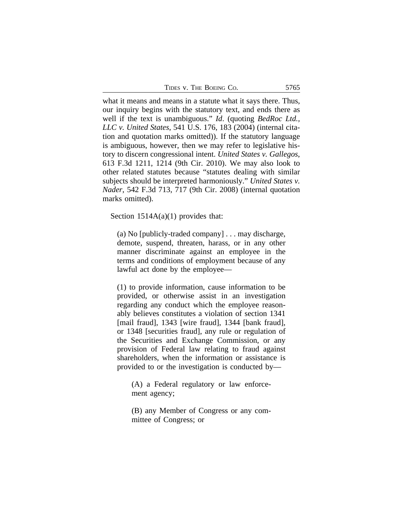| TIDES V. THE BOEING CO. | 5765 |
|-------------------------|------|
|-------------------------|------|

what it means and means in a statute what it says there. Thus, our inquiry begins with the statutory text, and ends there as well if the text is unambiguous." *Id*. (quoting *BedRoc Ltd., LLC v. United States*, 541 U.S. 176, 183 (2004) (internal citation and quotation marks omitted)). If the statutory language is ambiguous, however, then we may refer to legislative history to discern congressional intent. *United States v. Gallegos*, 613 F.3d 1211, 1214 (9th Cir. 2010). We may also look to other related statutes because "statutes dealing with similar subjects should be interpreted harmoniously." *United States v. Nader*, 542 F.3d 713, 717 (9th Cir. 2008) (internal quotation marks omitted).

Section  $1514A(a)(1)$  provides that:

(a) No [publicly-traded company] . . . may discharge, demote, suspend, threaten, harass, or in any other manner discriminate against an employee in the terms and conditions of employment because of any lawful act done by the employee—

(1) to provide information, cause information to be provided, or otherwise assist in an investigation regarding any conduct which the employee reasonably believes constitutes a violation of section 1341 [mail fraud], 1343 [wire fraud], 1344 [bank fraud], or 1348 [securities fraud], any rule or regulation of the Securities and Exchange Commission, or any provision of Federal law relating to fraud against shareholders, when the information or assistance is provided to or the investigation is conducted by—

(A) a Federal regulatory or law enforcement agency;

(B) any Member of Congress or any committee of Congress; or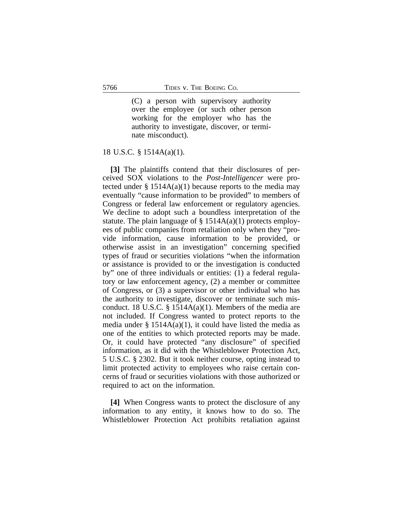(C) a person with supervisory authority over the employee (or such other person working for the employer who has the authority to investigate, discover, or terminate misconduct).

18 U.S.C. § 1514A(a)(1).

**[3]** The plaintiffs contend that their disclosures of perceived SOX violations to the *Post-Intelligencer* were protected under  $\S 1514A(a)(1)$  because reports to the media may eventually "cause information to be provided" to members of Congress or federal law enforcement or regulatory agencies. We decline to adopt such a boundless interpretation of the statute. The plain language of  $\S$  1514A(a)(1) protects employees of public companies from retaliation only when they "provide information, cause information to be provided, or otherwise assist in an investigation" concerning specified types of fraud or securities violations "when the information or assistance is provided to or the investigation is conducted by" one of three individuals or entities: (1) a federal regulatory or law enforcement agency, (2) a member or committee of Congress, or (3) a supervisor or other individual who has the authority to investigate, discover or terminate such misconduct. 18 U.S.C. § 1514A(a)(1). Members of the media are not included. If Congress wanted to protect reports to the media under  $\S$  1514A(a)(1), it could have listed the media as one of the entities to which protected reports may be made. Or, it could have protected "any disclosure" of specified information, as it did with the Whistleblower Protection Act, 5 U.S.C. § 2302. But it took neither course, opting instead to limit protected activity to employees who raise certain concerns of fraud or securities violations with those authorized or required to act on the information.

**[4]** When Congress wants to protect the disclosure of any information to any entity, it knows how to do so. The Whistleblower Protection Act prohibits retaliation against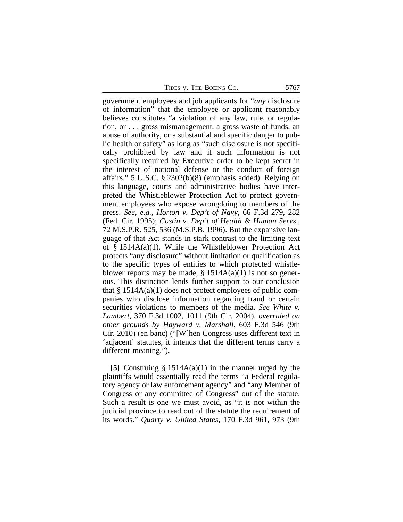TIDES V. THE BOEING CO. 5767

government employees and job applicants for "*any* disclosure of information" that the employee or applicant reasonably believes constitutes "a violation of any law, rule, or regulation, or . . . gross mismanagement, a gross waste of funds, an abuse of authority, or a substantial and specific danger to public health or safety" as long as "such disclosure is not specifically prohibited by law and if such information is not specifically required by Executive order to be kept secret in the interest of national defense or the conduct of foreign affairs." 5 U.S.C. § 2302(b)(8) (emphasis added). Relying on this language, courts and administrative bodies have interpreted the Whistleblower Protection Act to protect government employees who expose wrongdoing to members of the press. *See, e.g., Horton v. Dep't of Navy*, 66 F.3d 279, 282 (Fed. Cir. 1995); *Costin v. Dep't of Health & Human Servs*., 72 M.S.P.R. 525, 536 (M.S.P.B. 1996). But the expansive language of that Act stands in stark contrast to the limiting text of § 1514A(a)(1). While the Whistleblower Protection Act protects "any disclosure" without limitation or qualification as to the specific types of entities to which protected whistleblower reports may be made,  $\S 1514A(a)(1)$  is not so generous. This distinction lends further support to our conclusion that  $\S$  1514A(a)(1) does not protect employees of public companies who disclose information regarding fraud or certain securities violations to members of the media. *See White v. Lambert*, 370 F.3d 1002, 1011 (9th Cir. 2004), *overruled on other grounds by Hayward v. Marshall*, 603 F.3d 546 (9th Cir. 2010) (en banc) ("[W]hen Congress uses different text in 'adjacent' statutes, it intends that the different terms carry a different meaning.").

**[5]** Construing § 1514A(a)(1) in the manner urged by the plaintiffs would essentially read the terms "a Federal regulatory agency or law enforcement agency" and "any Member of Congress or any committee of Congress" out of the statute. Such a result is one we must avoid, as "it is not within the judicial province to read out of the statute the requirement of its words." *Quarty v. United States*, 170 F.3d 961, 973 (9th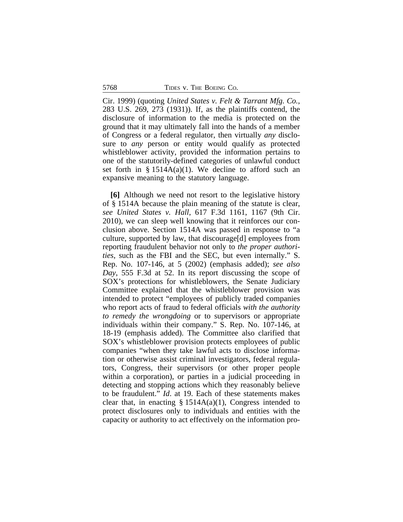Cir. 1999) (quoting *United States v. Felt & Tarrant Mfg. Co.*, 283 U.S. 269, 273 (1931)). If, as the plaintiffs contend, the disclosure of information to the media is protected on the ground that it may ultimately fall into the hands of a member of Congress or a federal regulator, then virtually *any* disclosure to *any* person or entity would qualify as protected whistleblower activity, provided the information pertains to one of the statutorily-defined categories of unlawful conduct set forth in  $\S$  1514A(a)(1). We decline to afford such an expansive meaning to the statutory language.

**[6]** Although we need not resort to the legislative history of § 1514A because the plain meaning of the statute is clear, *see United States v. Hall*, 617 F.3d 1161, 1167 (9th Cir. 2010), we can sleep well knowing that it reinforces our conclusion above. Section 1514A was passed in response to "a culture, supported by law, that discourage[d] employees from reporting fraudulent behavior not only to *the proper authorities*, such as the FBI and the SEC, but even internally." S. Rep. No. 107-146, at 5 (2002) (emphasis added); *see also Day*, 555 F.3d at 52. In its report discussing the scope of SOX's protections for whistleblowers, the Senate Judiciary Committee explained that the whistleblower provision was intended to protect "employees of publicly traded companies who report acts of fraud to federal officials *with the authority to remedy the wrongdoing* or to supervisors or appropriate individuals within their company." S. Rep. No. 107-146, at 18-19 (emphasis added). The Committee also clarified that SOX's whistleblower provision protects employees of public companies "when they take lawful acts to disclose information or otherwise assist criminal investigators, federal regulators, Congress, their supervisors (or other proper people within a corporation), or parties in a judicial proceeding in detecting and stopping actions which they reasonably believe to be fraudulent." *Id*. at 19. Each of these statements makes clear that, in enacting  $\S$  1514A(a)(1), Congress intended to protect disclosures only to individuals and entities with the capacity or authority to act effectively on the information pro-